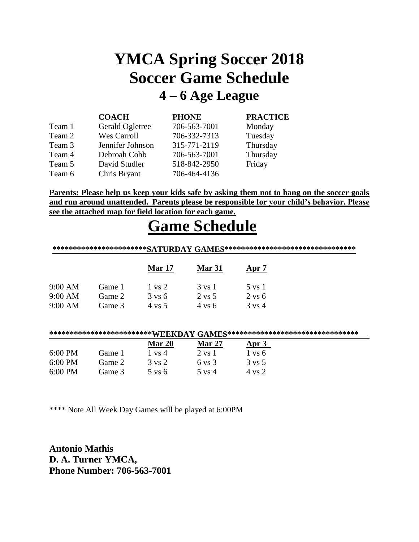### **YMCA Spring Soccer 2018 Soccer Game Schedule 4 – 6 Age League**

|        | <b>COACH</b>       | <b>PHONE</b> | <b>PRACTICE</b> |
|--------|--------------------|--------------|-----------------|
| Team 1 | Gerald Ogletree    | 706-563-7001 | Monday          |
| Team 2 | <b>Wes Carroll</b> | 706-332-7313 | Tuesday         |
| Team 3 | Jennifer Johnson   | 315-771-2119 | Thursday        |
| Team 4 | Debroah Cobb       | 706-563-7001 | Thursday        |
| Team 5 | David Studler      | 518-842-2950 | Friday          |
| Team 6 | Chris Bryant       | 706-464-4136 |                 |

**Parents: Please help us keep your kids safe by asking them not to hang on the soccer goals and run around unattended. Parents please be responsible for your child's behavior. Please see the attached map for field location for each game.**

### **Game Schedule**

|                   |        |                   |                   | *********************** $\mathbf{SATURDAY}\ \mathbf{GAMES}$ ********************************* |  |
|-------------------|--------|-------------------|-------------------|-----------------------------------------------------------------------------------------------|--|
|                   |        | <b>Mar 17</b>     | <b>Mar 31</b>     | Apr 7                                                                                         |  |
| 9:00 AM           | Game 1 | 1 vs 2            | 3 vs 1            | 5 vs 1                                                                                        |  |
| 9:00 AM           | Game 2 | $3 \text{ vs } 6$ | 2 vs 5            | $2 \text{ vs } 6$                                                                             |  |
| 9:00 AM           | Game 3 | 4 vs 5            | $4 \text{ vs } 6$ | $3 \text{ vs } 4$                                                                             |  |
|                   |        |                   |                   | **************************WEEKDAY GAMES**********************************                     |  |
|                   |        | Mar 20            | <b>Mar 27</b>     | Apr 3                                                                                         |  |
| $6:00 \text{ PM}$ | Game 1 | $1 \text{ vs } 4$ | $2 \text{ vs } 1$ | $1 \text{ vs } 6$                                                                             |  |
| $6:00 \text{ PM}$ | Game 2 | $3 \text{ vs } 2$ | $6 \text{ vs } 3$ | $3 \text{ vs } 5$                                                                             |  |
| $6:00$ PM         | Game 3 | $5 \text{ vs } 6$ | 5 vs 4            | 4 ys 2                                                                                        |  |

\*\*\*\* Note All Week Day Games will be played at 6:00PM

**Antonio Mathis D. A. Turner YMCA, Phone Number: 706-563-7001**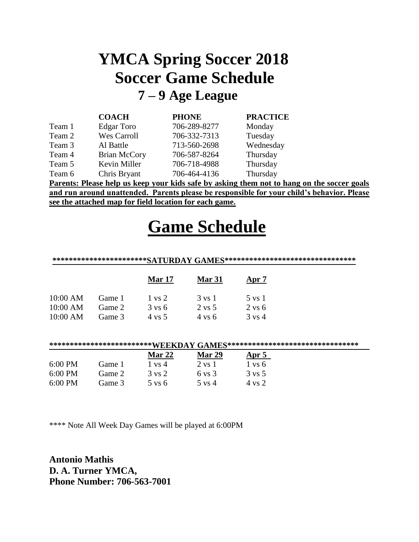## **YMCA Spring Soccer 2018 Soccer Game Schedule 7 – 9 Age League**

|        | <b>COACH</b>        | <b>PHONE</b> | <b>PRACTICE</b>                                                                            |  |
|--------|---------------------|--------------|--------------------------------------------------------------------------------------------|--|
| Team 1 | Edgar Toro          | 706-289-8277 | Monday                                                                                     |  |
| Team 2 | Wes Carroll         | 706-332-7313 | Tuesday                                                                                    |  |
| Team 3 | Al Battle           | 713-560-2698 | Wednesday                                                                                  |  |
| Team 4 | <b>Brian McCory</b> | 706-587-8264 | Thursday                                                                                   |  |
| Team 5 | Kevin Miller        | 706-718-4988 | Thursday                                                                                   |  |
| Team 6 | Chris Bryant        | 706-464-4136 | Thursday                                                                                   |  |
|        |                     |              | Parents: Please help us keep your kids safe by asking them not to hang on the soccer goals |  |

**and run around unattended. Parents please be responsible for your child's behavior. Please see the attached map for field location for each game.**

# **Game Schedule**

#### **\*\*\*\*\*\*\*\*\*\*\*\*\*\*\*\*\*\*\*\*\*\*\*SATURDAY GAMES\*\*\*\*\*\*\*\*\*\*\*\*\*\*\*\*\*\*\*\*\*\*\*\*\*\*\*\*\*\*\*\***

|          |        | <b>Mar 17</b>     | Mar 31            | $_{\rm Apr}$ 7    |
|----------|--------|-------------------|-------------------|-------------------|
| 10:00 AM | Game 1 | $1 \text{ vs } 2$ | $3 \text{ vs } 1$ | 5 vs 1            |
| 10:00 AM | Game 2 | $3 \text{ vs } 6$ | 2 vs 5            | $2 \text{ vs } 6$ |
| 10:00 AM | Game 3 | 4 ys 5            | $4 \text{ vs } 6$ | $3 \text{ vs } 4$ |

#### **\*\*\*\*\*\*\*\*\*\*\*\*\*\*\*\*\*\*\*\*\*\*\*\*\*WEEKDAY GAMES\*\*\*\*\*\*\*\*\*\*\*\*\*\*\*\*\*\*\*\*\*\*\*\*\*\*\*\*\*\*\*\***

|                   |        | <b>Mar 22</b>     | <b>Mar 29</b>     | Apr 5             |
|-------------------|--------|-------------------|-------------------|-------------------|
| $6:00 \text{ PM}$ | Game 1 | 1 vs 4            | 2 vs 1            | $1 \text{ vs } 6$ |
| $6:00 \text{ PM}$ | Game 2 | 3 vs 2            | $6 \text{ vs } 3$ | $3 \text{ vs } 5$ |
| $6:00 \text{ PM}$ | Game 3 | $5 \text{ vs } 6$ | $5 \text{ vs } 4$ | 4 vs 2            |

\*\*\*\* Note All Week Day Games will be played at 6:00PM

**Antonio Mathis D. A. Turner YMCA, Phone Number: 706-563-7001**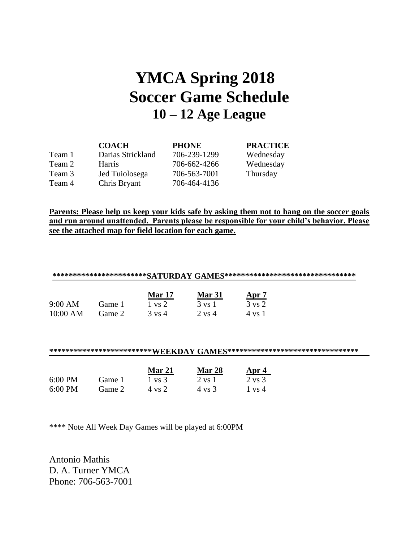### **YMCA Spring 2018 Soccer Game Schedule 10 – 12 Age League**

|        | <b>COACH</b>      | <b>PHONE</b> | <b>PRACTICE</b> |
|--------|-------------------|--------------|-----------------|
| Team 1 | Darias Strickland | 706-239-1299 | Wednesday       |
| Team 2 | <b>Harris</b>     | 706-662-4266 | Wednesday       |
| Team 3 | Jed Tuiolosega    | 706-563-7001 | Thursday        |
| Team 4 | Chris Bryant      | 706-464-4136 |                 |

**Parents: Please help us keep your kids safe by asking them not to hang on the soccer goals and run around unattended. Parents please be responsible for your child's behavior. Please see the attached map for field location for each game.**

| ************************SATURDAY GAMES********************************** |         |                 |               |              |  |
|--------------------------------------------------------------------------|---------|-----------------|---------------|--------------|--|
|                                                                          |         | <b>Mar 17</b>   | <b>Mar 31</b> | <u>Apr 7</u> |  |
| $9:00$ AM                                                                | .iame 1 | vs <sub>2</sub> | 3 vs 1        | 3 vs 2       |  |
| 10:00 AM                                                                 | Game 2  | 3 vs 4          | 2 vs 4        | 4 vs 1       |  |

**\*\*\*\*\*\*\*\*\*\*\*\*\*\*\*\*\*\*\*\*\*\*\*\*\*WEEKDAY GAMES\*\*\*\*\*\*\*\*\*\*\*\*\*\*\*\*\*\*\*\*\*\*\*\*\*\*\*\*\*\*\*\***

|                   |        | Mar 21 | <b>Mar 28</b> | Apr 4             |
|-------------------|--------|--------|---------------|-------------------|
| $6:00$ PM         | Game 1 | 1 vs 3 | 2 vs 1        | 2 vs 3            |
| $6:00 \text{ PM}$ | Game 2 | 4 vs 2 | 4 vs 3        | $1 \text{ vs } 4$ |

\*\*\*\* Note All Week Day Games will be played at 6:00PM

Antonio Mathis D. A. Turner YMCA Phone: 706-563-7001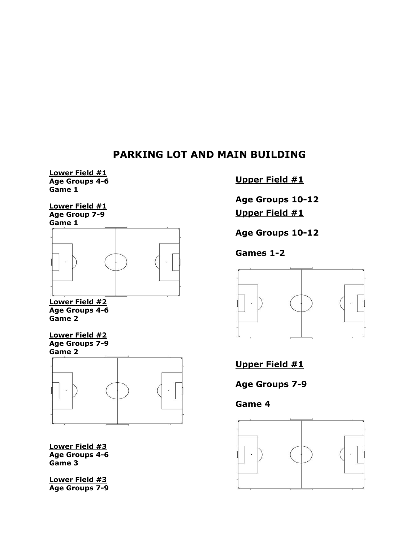### **PARKING LOT AND MAIN BUILDING**

**Lower Field #1 Age Groups 4-6 Game 1**

**Lower Field #1 Age Group 7-9 Game 1**



**Lower Field #2 Age Groups 4-6 Game 2**

**Lower Field #2 Age Groups 7-9 Game 2**



**Lower Field #3 Age Groups 4-6 Game 3**

**Lower Field #3 Age Groups 7-9**

#### **Upper Field #1**

**Age Groups 10-12 Upper Field #1**

**Age Groups 10-12**

**[Games 1-2](http://asepkg.biz/blank-soccer-field-diagram/)** 

**Games 1-2** 



**Game 4 Upper Field #1**

**[Age Groups 7-9](http://asepkg.biz/blank-soccer-field-diagram/)**

**Game 4**